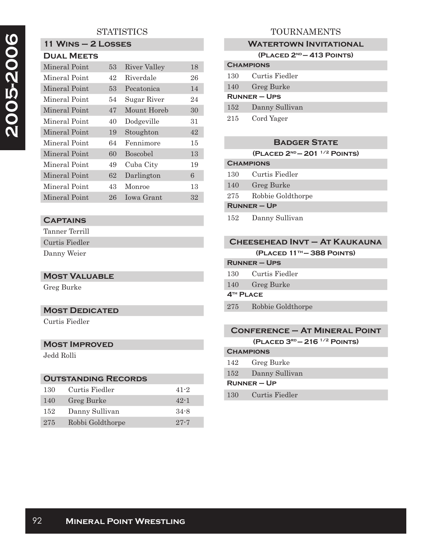### **STATISTICS**

# **11 Wins – 2 Losses**

# **Dual Meets**

| 53 | River Valley    | 18 |
|----|-----------------|----|
| 42 | Riverdale       | 26 |
| 53 | Pecatonica      | 14 |
| 54 | Sugar River     | 24 |
| 47 | Mount Horeb     | 30 |
| 40 | Dodgeville      | 31 |
| 19 | Stoughton       | 42 |
| 64 | Fennimore       | 15 |
| 60 | <b>Boscobel</b> | 13 |
| 49 | Cuba City       | 19 |
| 62 | Darlington      | 6  |
| 43 | Monroe          | 13 |
| 26 | Jowa Grant      | 32 |
|    |                 |    |

#### **Captains**

Tanner Terrill Curtis Fiedler

Danny Weier

#### **Most Valuable**

Greg Burke

#### **Most Dedicated**

Curtis Fiedler

#### **Most Improved**

Jedd Rolli

### **Outstanding Records**

| 130        | Curtis Fiedler   | $41 - 2$ |
|------------|------------------|----------|
| <b>140</b> | Greg Burke       | $42 - 1$ |
| 152        | Danny Sullivan   | $34 - 8$ |
| 275        | Robbi Goldthorpe | $27 - 7$ |

### TOURNAMENTS

#### **Watertown Invitational**

**(Placed 2nd — 413 Points)**

| <b>CHAMPIONS</b>  |                |  |  |
|-------------------|----------------|--|--|
| 130               | Curtis Fiedler |  |  |
| 140               | Greg Burke     |  |  |
| <b>RUNNER-UPS</b> |                |  |  |
| 152               | Danny Sullivan |  |  |
| 215               | Cord Yager     |  |  |

### **Badger State**

**(Placed 2nd — 201 1/2 Points)**

| <b>CHAMPIONS</b> |                   |  |  |  |
|------------------|-------------------|--|--|--|
| 130              | Curtis Fiedler    |  |  |  |
| 140              | Greg Burke        |  |  |  |
| 275              | Robbie Goldthorpe |  |  |  |
| <b>RUNNER-UP</b> |                   |  |  |  |
| 152              | Danny Sullivan    |  |  |  |

| <b>CHEESEHEAD INVT - AT KAUKAUNA</b> |                              |  |  |  |
|--------------------------------------|------------------------------|--|--|--|
|                                      | $(PLACED 11TH - 388$ POINTS) |  |  |  |
| <b>RUNNER – UPS</b>                  |                              |  |  |  |
| 130                                  | Curtis Fiedler               |  |  |  |
| 140                                  | Greg Burke                   |  |  |  |
| $4^{\text{\tiny{TH}}}$ PLACE         |                              |  |  |  |
| $275\,$                              | Robbie Goldthorpe            |  |  |  |
|                                      |                              |  |  |  |

### **Conference – At Mineral Point (Placed 3rd — 216 1/2 Points)**

### **Champions**

- 142 Greg Burke
- 152 Danny Sullivan

#### **Runner – Up**

130 Curtis Fiedler